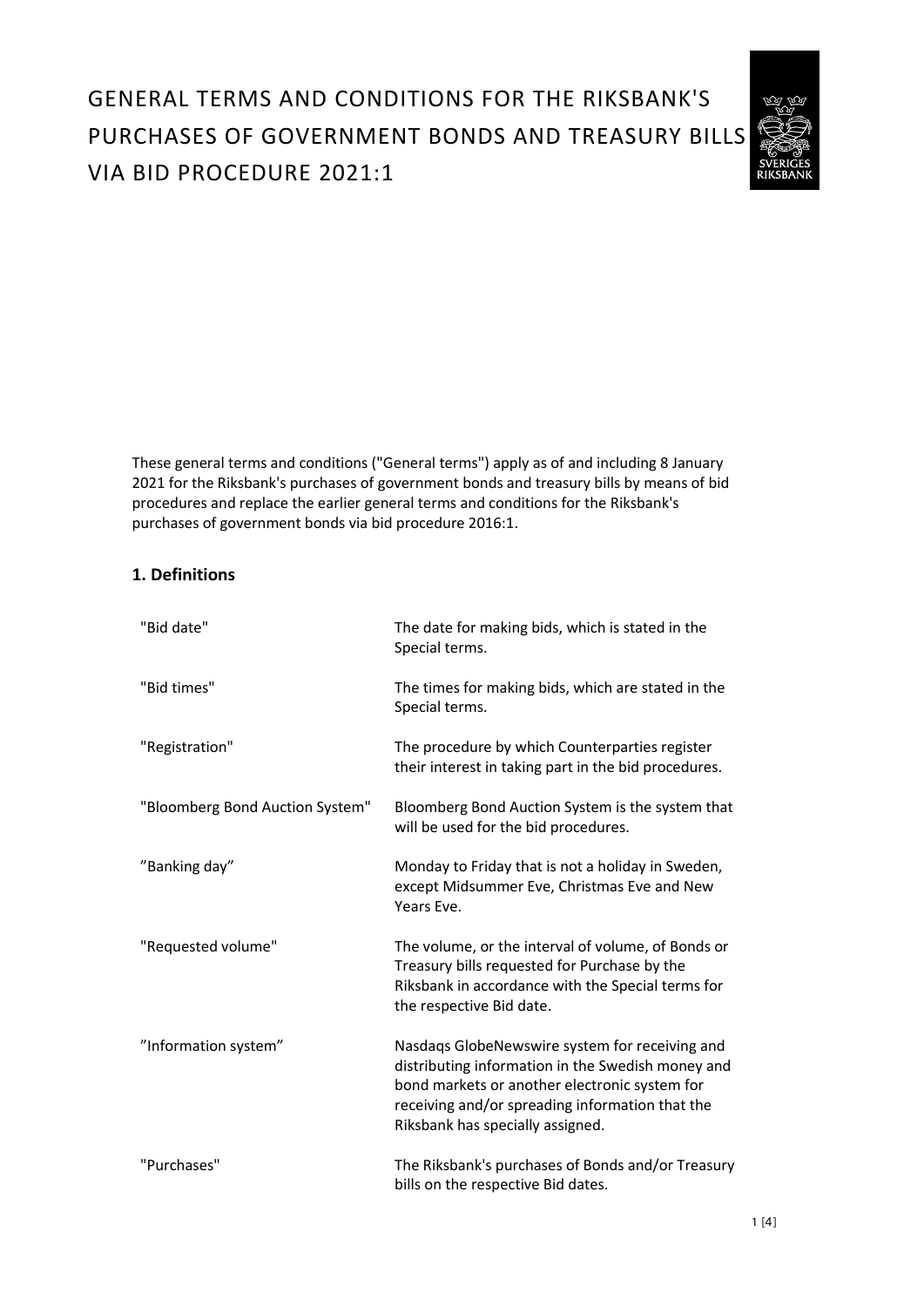# GENERAL TERMS AND CONDITIONS FOR THE RIKSBANK'S PURCHASES OF GOVERNMENT BONDS AND TREASURY BILLS VIA BID PROCEDURE 2021:1



These general terms and conditions ("General terms") apply as of and including 8 January 2021 for the Riksbank's purchases of government bonds and treasury bills by means of bid procedures and replace the earlier general terms and conditions for the Riksbank's purchases of government bonds via bid procedure 2016:1.

# **1. Definitions**

| "Bid date"                      | The date for making bids, which is stated in the<br>Special terms.                                                                                                                                                                          |
|---------------------------------|---------------------------------------------------------------------------------------------------------------------------------------------------------------------------------------------------------------------------------------------|
| "Bid times"                     | The times for making bids, which are stated in the<br>Special terms.                                                                                                                                                                        |
| "Registration"                  | The procedure by which Counterparties register<br>their interest in taking part in the bid procedures.                                                                                                                                      |
| "Bloomberg Bond Auction System" | Bloomberg Bond Auction System is the system that<br>will be used for the bid procedures.                                                                                                                                                    |
| "Banking day"                   | Monday to Friday that is not a holiday in Sweden,<br>except Midsummer Eve, Christmas Eve and New<br>Years Eve.                                                                                                                              |
| "Requested volume"              | The volume, or the interval of volume, of Bonds or<br>Treasury bills requested for Purchase by the<br>Riksbank in accordance with the Special terms for<br>the respective Bid date.                                                         |
| "Information system"            | Nasdaqs GlobeNewswire system for receiving and<br>distributing information in the Swedish money and<br>bond markets or another electronic system for<br>receiving and/or spreading information that the<br>Riksbank has specially assigned. |
| "Purchases"                     | The Riksbank's purchases of Bonds and/or Treasury<br>bills on the respective Bid dates.                                                                                                                                                     |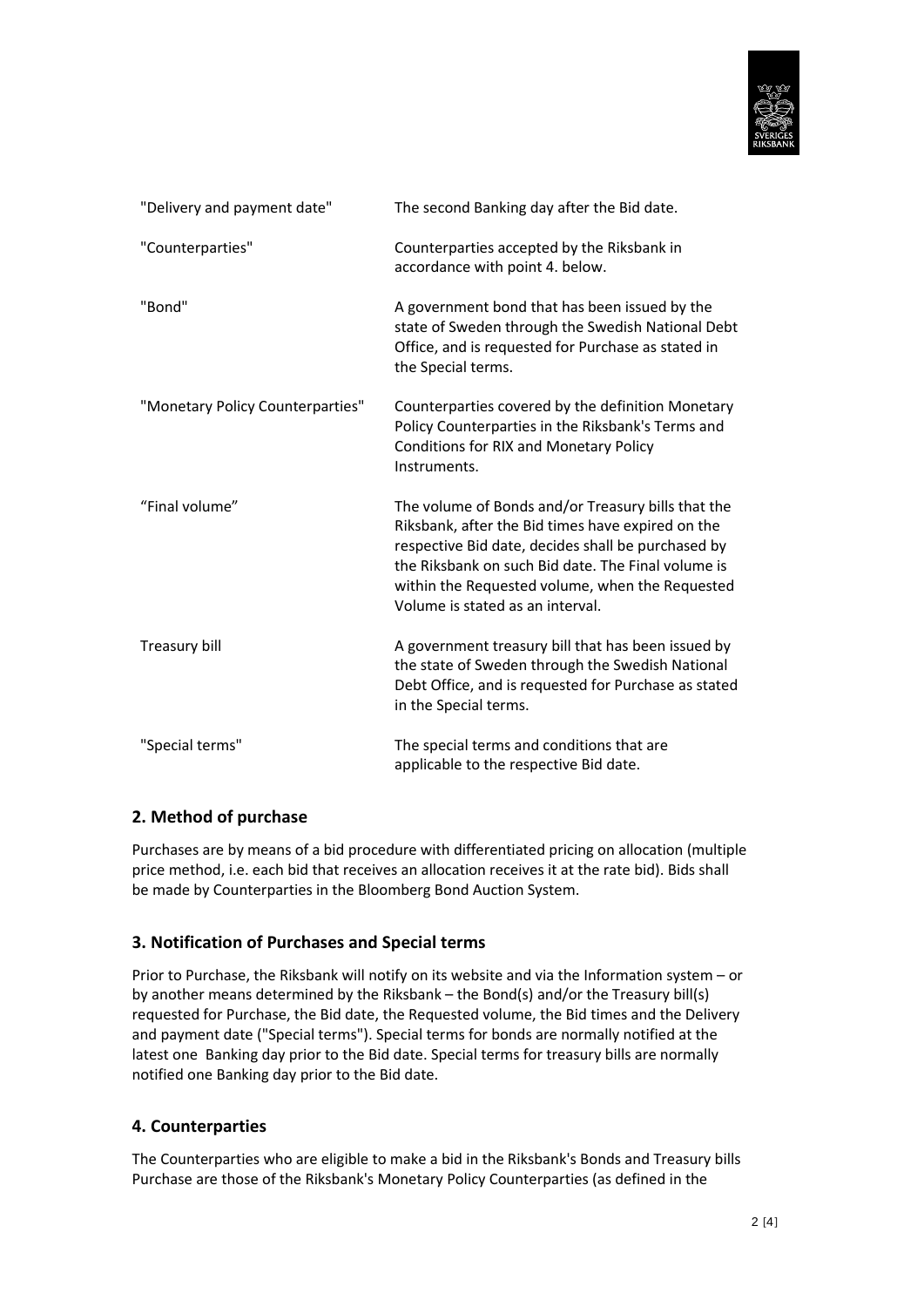

| "Delivery and payment date"      | The second Banking day after the Bid date.                                                                                                                                                                                                                                                                 |
|----------------------------------|------------------------------------------------------------------------------------------------------------------------------------------------------------------------------------------------------------------------------------------------------------------------------------------------------------|
| "Counterparties"                 | Counterparties accepted by the Riksbank in<br>accordance with point 4. below.                                                                                                                                                                                                                              |
| "Bond"                           | A government bond that has been issued by the<br>state of Sweden through the Swedish National Debt<br>Office, and is requested for Purchase as stated in<br>the Special terms.                                                                                                                             |
| "Monetary Policy Counterparties" | Counterparties covered by the definition Monetary<br>Policy Counterparties in the Riksbank's Terms and<br>Conditions for RIX and Monetary Policy<br>Instruments.                                                                                                                                           |
| "Final volume"                   | The volume of Bonds and/or Treasury bills that the<br>Riksbank, after the Bid times have expired on the<br>respective Bid date, decides shall be purchased by<br>the Riksbank on such Bid date. The Final volume is<br>within the Requested volume, when the Requested<br>Volume is stated as an interval. |
| Treasury bill                    | A government treasury bill that has been issued by<br>the state of Sweden through the Swedish National<br>Debt Office, and is requested for Purchase as stated<br>in the Special terms.                                                                                                                    |
| "Special terms"                  | The special terms and conditions that are<br>applicable to the respective Bid date.                                                                                                                                                                                                                        |

# **2. Method of purchase**

Purchases are by means of a bid procedure with differentiated pricing on allocation (multiple price method, i.e. each bid that receives an allocation receives it at the rate bid). Bids shall be made by Counterparties in the Bloomberg Bond Auction System.

# **3. Notification of Purchases and Special terms**

Prior to Purchase, the Riksbank will notify on its website and via the Information system – or by another means determined by the Riksbank – the Bond(s) and/or the Treasury bill(s) requested for Purchase, the Bid date, the Requested volume, the Bid times and the Delivery and payment date ("Special terms"). Special terms for bonds are normally notified at the latest one Banking day prior to the Bid date. Special terms for treasury bills are normally notified one Banking day prior to the Bid date.

# **4. Counterparties**

The Counterparties who are eligible to make a bid in the Riksbank's Bonds and Treasury bills Purchase are those of the Riksbank's Monetary Policy Counterparties (as defined in the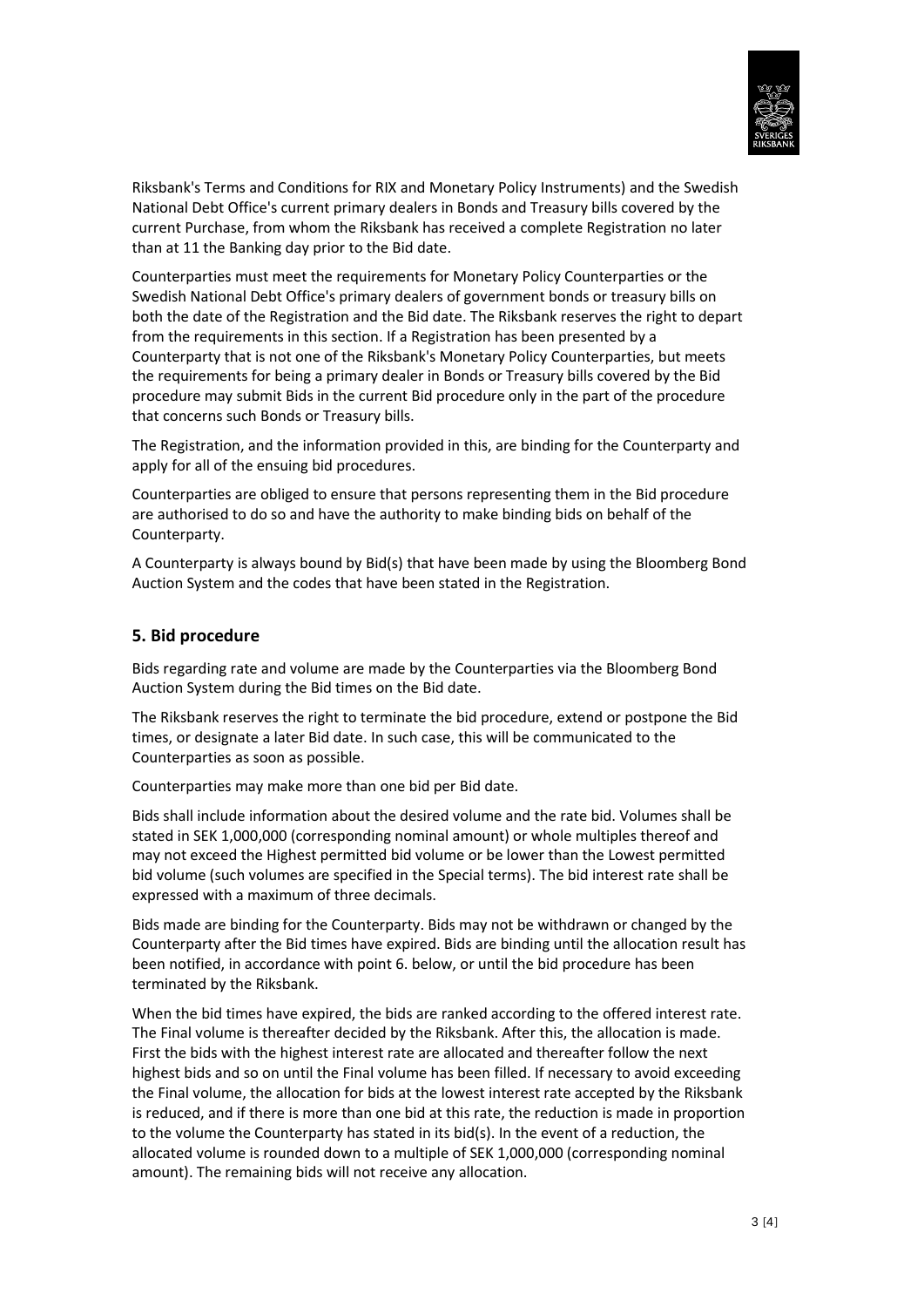

Riksbank's Terms and Conditions for RIX and Monetary Policy Instruments) and the Swedish National Debt Office's current primary dealers in Bonds and Treasury bills covered by the current Purchase, from whom the Riksbank has received a complete Registration no later than at 11 the Banking day prior to the Bid date.

Counterparties must meet the requirements for Monetary Policy Counterparties or the Swedish National Debt Office's primary dealers of government bonds or treasury bills on both the date of the Registration and the Bid date. The Riksbank reserves the right to depart from the requirements in this section. If a Registration has been presented by a Counterparty that is not one of the Riksbank's Monetary Policy Counterparties, but meets the requirements for being a primary dealer in Bonds or Treasury bills covered by the Bid procedure may submit Bids in the current Bid procedure only in the part of the procedure that concerns such Bonds or Treasury bills.

The Registration, and the information provided in this, are binding for the Counterparty and apply for all of the ensuing bid procedures.

Counterparties are obliged to ensure that persons representing them in the Bid procedure are authorised to do so and have the authority to make binding bids on behalf of the Counterparty.

A Counterparty is always bound by Bid(s) that have been made by using the Bloomberg Bond Auction System and the codes that have been stated in the Registration.

#### **5. Bid procedure**

Bids regarding rate and volume are made by the Counterparties via the Bloomberg Bond Auction System during the Bid times on the Bid date.

The Riksbank reserves the right to terminate the bid procedure, extend or postpone the Bid times, or designate a later Bid date. In such case, this will be communicated to the Counterparties as soon as possible.

Counterparties may make more than one bid per Bid date.

Bids shall include information about the desired volume and the rate bid. Volumes shall be stated in SEK 1,000,000 (corresponding nominal amount) or whole multiples thereof and may not exceed the Highest permitted bid volume or be lower than the Lowest permitted bid volume (such volumes are specified in the Special terms). The bid interest rate shall be expressed with a maximum of three decimals.

Bids made are binding for the Counterparty. Bids may not be withdrawn or changed by the Counterparty after the Bid times have expired. Bids are binding until the allocation result has been notified, in accordance with point 6. below, or until the bid procedure has been terminated by the Riksbank.

When the bid times have expired, the bids are ranked according to the offered interest rate. The Final volume is thereafter decided by the Riksbank. After this, the allocation is made. First the bids with the highest interest rate are allocated and thereafter follow the next highest bids and so on until the Final volume has been filled. If necessary to avoid exceeding the Final volume, the allocation for bids at the lowest interest rate accepted by the Riksbank is reduced, and if there is more than one bid at this rate, the reduction is made in proportion to the volume the Counterparty has stated in its bid(s). In the event of a reduction, the allocated volume is rounded down to a multiple of SEK 1,000,000 (corresponding nominal amount). The remaining bids will not receive any allocation.